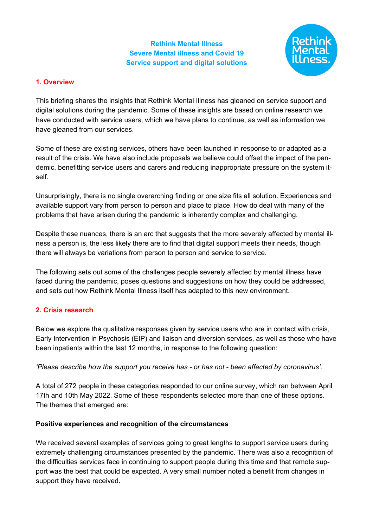# **Rethink Mental Illness Severe Mental illness and Covid 19 Service support and digital solutions**



# **1. Overview**

This briefing shares the insights that Rethink Mental Illness has gleaned on service support and digital solutions during the pandemic. Some of these insights are based on online research we have conducted with service users, which we have plans to continue, as well as information we have gleaned from our services.

Some of these are existing services, others have been launched in response to or adapted as a result of the crisis. We have also include proposals we believe could offset the impact of the pandemic, benefitting service users and carers and reducing inappropriate pressure on the system itself.

Unsurprisingly, there is no single overarching finding or one size fits all solution. Experiences and available support vary from person to person and place to place. How do deal with many of the problems that have arisen during the pandemic is inherently complex and challenging.

Despite these nuances, there is an arc that suggests that the more severely affected by mental illness a person is, the less likely there are to find that digital support meets their needs, though there will always be variations from person to person and service to service.

The following sets out some of the challenges people severely affected by mental illness have faced during the pandemic, poses questions and suggestions on how they could be addressed, and sets out how Rethink Mental Illness itself has adapted to this new environment.

## **2. Crisis research**

Below we explore the qualitative responses given by service users who are in contact with crisis, Early Intervention in Psychosis (EIP) and liaison and diversion services, as well as those who have been inpatients within the last 12 months, in response to the following question:

*'Please describe how the support you receive has - or has not - been affected by coronavirus'.*

A total of 272 people in these categories responded to our online survey, which ran between April 17th and 10th May 2022. Some of these respondents selected more than one of these options. The themes that emerged are:

## **Positive experiences and recognition of the circumstances**

We received several examples of services going to great lengths to support service users during extremely challenging circumstances presented by the pandemic. There was also a recognition of the difficulties services face in continuing to support people during this time and that remote support was the best that could be expected. A very small number noted a benefit from changes in support they have received.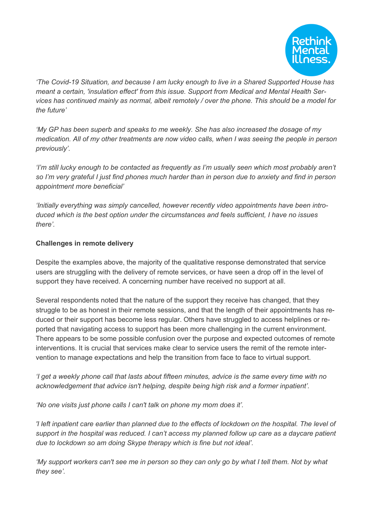

*'The Covid-19 Situation, and because I am lucky enough to live in a Shared Supported House has meant a certain, 'insulation effect' from this issue. Support from Medical and Mental Health Services has continued mainly as normal, albeit remotely / over the phone. This should be a model for the future'*

*'My GP has been superb and speaks to me weekly. She has also increased the dosage of my medication. All of my other treatments are now video calls, when I was seeing the people in person previously'.*

*'I'm still lucky enough to be contacted as frequently as I'm usually seen which most probably aren't* so I'm very grateful I just find phones much harder than in person due to anxiety and find in person *appointment more beneficial'*

*'Initially everything was simply cancelled, however recently video appointments have been introduced which is the best option under the circumstances and feels sufficient, I have no issues there'.*

#### **Challenges in remote delivery**

Despite the examples above, the majority of the qualitative response demonstrated that service users are struggling with the delivery of remote services, or have seen a drop off in the level of support they have received. A concerning number have received no support at all.

Several respondents noted that the nature of the support they receive has changed, that they struggle to be as honest in their remote sessions, and that the length of their appointments has reduced or their support has become less regular. Others have struggled to access helplines or reported that navigating access to support has been more challenging in the current environment. There appears to be some possible confusion over the purpose and expected outcomes of remote interventions. It is crucial that services make clear to service users the remit of the remote intervention to manage expectations and help the transition from face to face to virtual support.

'I get a weekly phone call that lasts about fifteen minutes, advice is the same every time with no *acknowledgement that advice isn't helping, despite being high risk and a former inpatient'.*

*'No one visits just phone calls I can't talk on phone my mom does it'.*

I left inpatient care earlier than planned due to the effects of lockdown on the hospital. The level of *support in the hospital was reduced. I can't access my planned follow up care as a daycare patient due to lockdown so am doing Skype therapy which is fine but not ideal'.*

'My support workers can't see me in person so they can only go by what I tell them. Not by what *they see'.*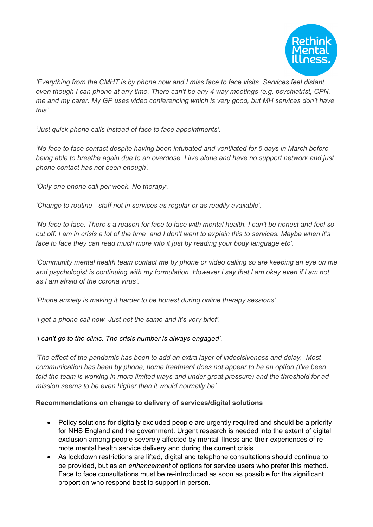

*'Everything from the CMHT is by phone now and I miss face to face visits. Services feel distant even though I can phone at any time. There can't be any 4 way meetings (e.g. psychiatrist, CPN, me and my carer. My GP uses video conferencing which is very good, but MH services don't have this'.*

*'Just quick phone calls instead of face to face appointments'.*

*'No face to face contact despite having been intubated and ventilated for 5 days in March before* being able to breathe again due to an overdose. I live alone and have no support network and just *phone contact has not been enough'.*

*'Only one phone call per week. No therapy'.*

*'Change to routine - staff not in services as regular or as readily available'.*

'No face to face. There's a reason for face to face with mental health. I can't be honest and feel so cut off. I am in crisis a lot of the time and I don't want to explain this to services. Maybe when it's *face to face they can read much more into it just by reading your body language etc'.*

*'Community mental health team contact me by phone or video calling so are keeping an eye on me*  and psychologist is continuing with my formulation. However I say that I am okay even if I am not *as l am afraid of the corona virus'.*

*'Phone anxiety is making it harder to be honest during online therapy sessions'.*

*'I get a phone call now. Just not the same and it's very brief'.*

*'I can't go to the clinic. The crisis number is always engaged'.*

*'The effect of the pandemic has been to add an extra layer of indecisiveness and delay. Most communication has been by phone, home treatment does not appear to be an option (I've been told the team is working in more limited ways and under great pressure) and the threshold for admission seems to be even higher than it would normally be'.*

## **Recommendations on change to delivery of services/digital solutions**

- Policy solutions for digitally excluded people are urgently required and should be a priority for NHS England and the government. Urgent research is needed into the extent of digital exclusion among people severely affected by mental illness and their experiences of remote mental health service delivery and during the current crisis.
- As lockdown restrictions are lifted, digital and telephone consultations should continue to be provided, but as an *enhancement* of options for service users who prefer this method. Face to face consultations must be re-introduced as soon as possible for the significant proportion who respond best to support in person.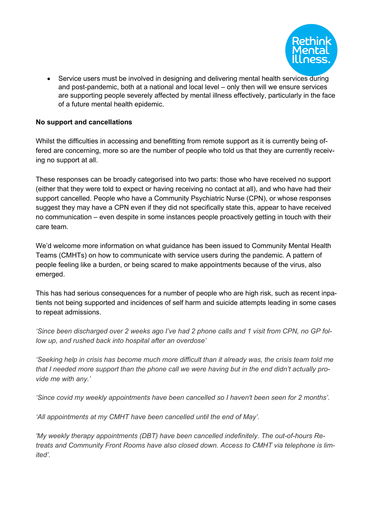

• Service users must be involved in designing and delivering mental health services during and post-pandemic, both at a national and local level – only then will we ensure services are supporting people severely affected by mental illness effectively, particularly in the face of a future mental health epidemic.

#### **No support and cancellations**

Whilst the difficulties in accessing and benefitting from remote support as it is currently being offered are concerning, more so are the number of people who told us that they are currently receiving no support at all.

These responses can be broadly categorised into two parts: those who have received no support (either that they were told to expect or having receiving no contact at all), and who have had their support cancelled. People who have a Community Psychiatric Nurse (CPN), or whose responses suggest they may have a CPN even if they did not specifically state this, appear to have received no communication – even despite in some instances people proactively getting in touch with their care team.

We'd welcome more information on what guidance has been issued to Community Mental Health Teams (CMHTs) on how to communicate with service users during the pandemic. A pattern of people feeling like a burden, or being scared to make appointments because of the virus, also emerged.

This has had serious consequences for a number of people who are high risk, such as recent inpatients not being supported and incidences of self harm and suicide attempts leading in some cases to repeat admissions.

'Since been discharged over 2 weeks ago I've had 2 phone calls and 1 visit from CPN, no GP fol*low up, and rushed back into hospital after an overdose'*

Seeking help in crisis has become much more difficult than it already was, the crisis team told me that I needed more support than the phone call we were having but in the end didn't actually pro*vide me with any.'*

*'Since covid my weekly appointments have been cancelled so I haven't been seen for 2 months'.*

*'All appointments at my CMHT have been cancelled until the end of May'.*

*'My weekly therapy appointments (DBT) have been cancelled indefinitely. The out-of-hours Retreats and Community Front Rooms have also closed down. Access to CMHT via telephone is limited'.*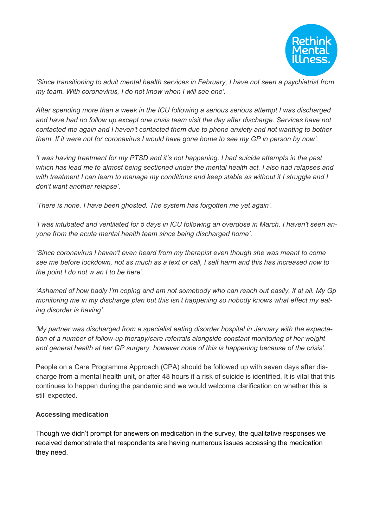

*'Since transitioning to adult mental health services in February, I have not seen a psychiatrist from my team. With coronavirus, I do not know when I will see one'.*

*After spending more than a week in the ICU following a serious serious attempt I was discharged and have had no follow up except one crisis team visit the day after discharge. Services have not contacted me again and I haven't contacted them due to phone anxiety and not wanting to bother* them. If it were not for coronavirus I would have gone home to see my GP in person by now'.

*'I was having treatment for my PTSD and it's not happening. I had suicide attempts in the past which has lead me to almost being sectioned under the mental health act. I also had relapses and* with treatment I can learn to manage my conditions and keep stable as without it I struggle and I *don't want another relapse'.*

*'There is none. I have been ghosted. The system has forgotten me yet again'.*

'I was intubated and ventilated for 5 days in ICU following an overdose in March. I haven't seen an*yone from the acute mental health team since being discharged home'.*

*'Since coronavirus I haven't even heard from my therapist even though she was meant to come* see me before lockdown, not as much as a text or call, I self harm and this has increased now to *the point I do not w an t to be here'.*

'Ashamed of how badly I'm coping and am not somebody who can reach out easily, if at all. My Gp *monitoring me in my discharge plan but this isn't happening so nobody knows what effect my eating disorder is having'.*

*'My partner was discharged from a specialist eating disorder hospital in January with the expectation of a number of follow-up therapy/care referrals alongside constant monitoring of her weight and general health at her GP surgery, however none of this is happening because of the crisis'.*

People on a Care Programme Approach (CPA) should be followed up with seven days after discharge from a mental health unit, or after 48 hours if a risk of suicide is identified. It is vital that this continues to happen during the pandemic and we would welcome clarification on whether this is still expected.

## **Accessing medication**

Though we didn't prompt for answers on medication in the survey, the qualitative responses we received demonstrate that respondents are having numerous issues accessing the medication they need.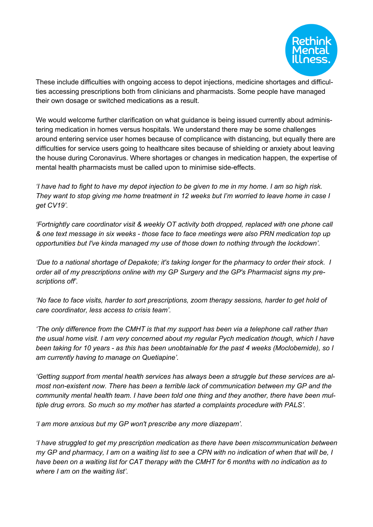

These include difficulties with ongoing access to depot injections, medicine shortages and difficulties accessing prescriptions both from clinicians and pharmacists. Some people have managed their own dosage or switched medications as a result.

We would welcome further clarification on what guidance is being issued currently about administering medication in homes versus hospitals. We understand there may be some challenges around entering service user homes because of complicance with distancing, but equally there are difficulties for service users going to healthcare sites because of shielding or anxiety about leaving the house during Coronavirus. Where shortages or changes in medication happen, the expertise of mental health pharmacists must be called upon to minimise side-effects.

'I have had to fight to have my depot injection to be given to me in my home. I am so high risk. They want to stop giving me home treatment in 12 weeks but I'm worried to leave home in case I *get CV19'.*

*'Fortnightly care coordinator visit & weekly OT activity both dropped, replaced with one phone call* & one text message in six weeks - those face to face meetings were also PRN medication top up *opportunities but I've kinda managed my use of those down to nothing through the lockdown'.*

*'Due to a national shortage of Depakote; it's taking longer for the pharmacy to order their stock. I order all of my prescriptions online with my GP Surgery and the GP's Pharmacist signs my prescriptions off'.*

*'No face to face visits, harder to sort prescriptions, zoom therapy sessions, harder to get hold of care coordinator, less access to crisis team'.*

*'The only difference from the CMHT is that my support has been via a telephone call rather than the usual home visit. I am very concerned about my regular Pych medication though, which I have* been taking for 10 years - as this has been unobtainable for the past 4 weeks (Moclobemide), so I *am currently having to manage on Quetiapine'.*

*'Getting support from mental health services has always been a struggle but these services are almost non-existent now. There has been a terrible lack of communication between my GP and the community mental health team. I have been told one thing and they another, there have been multiple drug errors. So much so my mother has started a complaints procedure with PALS'.*

*'I am more anxious but my GP won't prescribe any more diazepam'.*

*'I have struggled to get my prescription medication as there have been miscommunication between* my GP and pharmacy, I am on a waiting list to see a CPN with no indication of when that will be, I have been on a waiting list for CAT therapy with the CMHT for 6 months with no indication as to *where I am on the waiting list'.*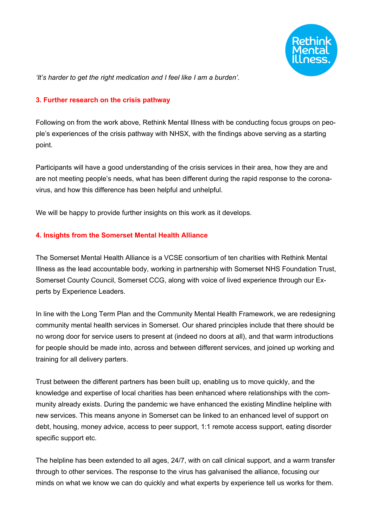

*'It's harder to get the right medication and I feel like I am a burden'.*

#### **3. Further research on the crisis pathway**

Following on from the work above, Rethink Mental Illness with be conducting focus groups on people's experiences of the crisis pathway with NHSX, with the findings above serving as a starting point.

Participants will have a good understanding of the crisis services in their area, how they are and are not meeting people's needs, what has been different during the rapid response to the coronavirus, and how this difference has been helpful and unhelpful.

We will be happy to provide further insights on this work as it develops.

#### **4. Insights from the Somerset Mental Health Alliance**

The Somerset Mental Health Alliance is a VCSE consortium of ten charities with Rethink Mental Illness as the lead accountable body, working in partnership with Somerset NHS Foundation Trust, Somerset County Council, Somerset CCG, along with voice of lived experience through our Experts by Experience Leaders.

In line with the Long Term Plan and the Community Mental Health Framework, we are redesigning community mental health services in Somerset. Our shared principles include that there should be no wrong door for service users to present at (indeed no doors at all), and that warm introductions for people should be made into, across and between different services, and joined up working and training for all delivery parters.

Trust between the different partners has been built up, enabling us to move quickly, and the knowledge and expertise of local charities has been enhanced where relationships with the community already exists. During the pandemic we have enhanced the existing Mindline helpline with new services. This means anyone in Somerset can be linked to an enhanced level of support on debt, housing, money advice, access to peer support, 1:1 remote access support, eating disorder specific support etc.

The helpline has been extended to all ages, 24/7, with on call clinical support, and a warm transfer through to other services. The response to the virus has galvanised the alliance, focusing our minds on what we know we can do quickly and what experts by experience tell us works for them.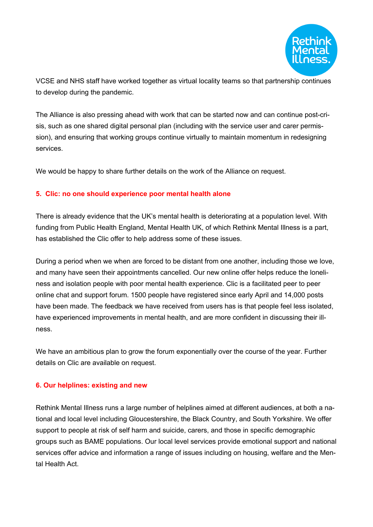

VCSE and NHS staff have worked together as virtual locality teams so that partnership continues to develop during the pandemic.

The Alliance is also pressing ahead with work that can be started now and can continue post-crisis, such as one shared digital personal plan (including with the service user and carer permission), and ensuring that working groups continue virtually to maintain momentum in redesigning services.

We would be happy to share further details on the work of the Alliance on request.

## **5. Clic: no one should experience poor mental health alone**

There is already evidence that the UK's mental health is deteriorating at a population level. With funding from Public Health England, Mental Health UK, of which Rethink Mental Illness is a part, has established the Clic offer to help address some of these issues.

During a period when we when are forced to be distant from one another, including those we love, and many have seen their appointments cancelled. Our new online offer helps reduce the loneliness and isolation people with poor mental health experience. Clic is a facilitated peer to peer online chat and support forum. 1500 people have registered since early April and 14,000 posts have been made. The feedback we have received from users has is that people feel less isolated, have experienced improvements in mental health, and are more confident in discussing their illness.

We have an ambitious plan to grow the forum exponentially over the course of the year. Further details on Clic are available on request.

## **6. Our helplines: existing and new**

Rethink Mental Illness runs a large number of helplines aimed at different audiences, at both a national and local level including Gloucestershire, the Black Country, and South Yorkshire. We offer support to people at risk of self harm and suicide, carers, and those in specific demographic groups such as BAME populations. Our local level services provide emotional support and national services offer advice and information a range of issues including on housing, welfare and the Mental Health Act.